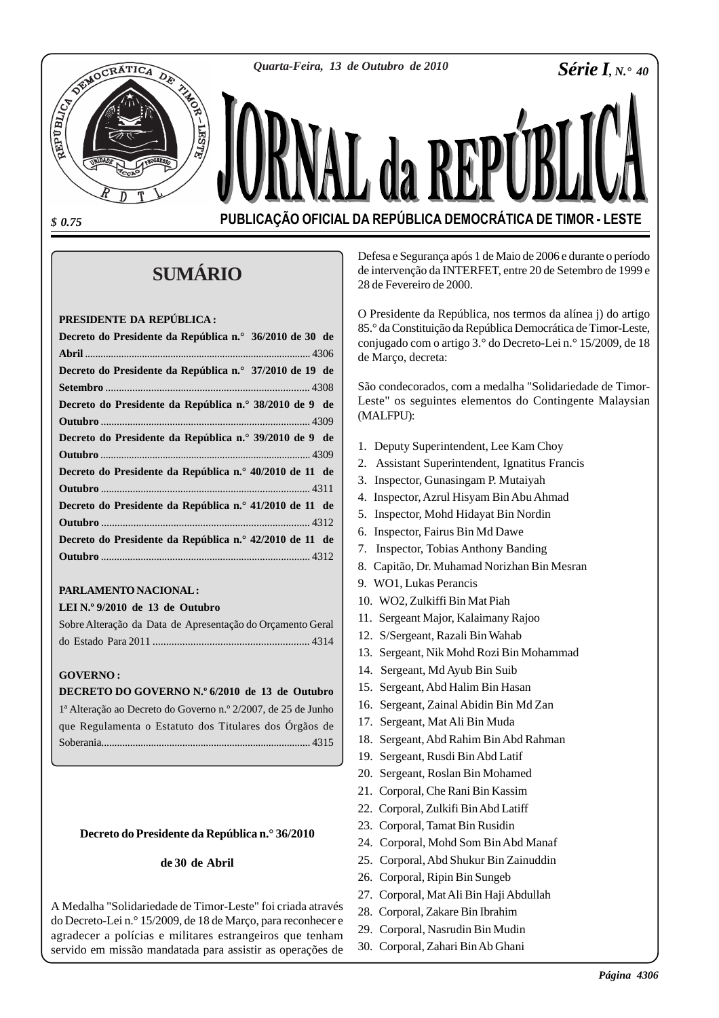*Quarta-Feira, 13 de Outubro de 2010*

*Série I, N.° 40*

*\$ 0.75*

**REPUBLICA** 

**PUBLICAÇÃO OFICIAL DA REPÚBLICA DEMOCRÁTICA DE TIMOR - LESTE**

# **SUMÁRIO**

#### **PRESIDENTE DA REPÚBLICA :**

OCRÁTICA

Dè

| Decreto do Presidente da República n.º 36/2010 de 30 de |  |
|---------------------------------------------------------|--|
|                                                         |  |
| Decreto do Presidente da República n.º 37/2010 de 19 de |  |
|                                                         |  |
| Decreto do Presidente da República n.º 38/2010 de 9 de  |  |
|                                                         |  |
| Decreto do Presidente da República n.º 39/2010 de 9 de  |  |
|                                                         |  |
| Decreto do Presidente da República n.º 40/2010 de 11 de |  |
|                                                         |  |
| Decreto do Presidente da República n.º 41/2010 de 11 de |  |
|                                                         |  |
| Decreto do Presidente da República n.º 42/2010 de 11 de |  |
|                                                         |  |
|                                                         |  |

# **PARLAMENTO NACIONAL :**

### **LEI N.º 9/2010 de 13 de Outubro**

| Sobre Alteração da Data de Apresentação do Orçamento Geral |  |
|------------------------------------------------------------|--|
|                                                            |  |

#### **GOVERNO :**

#### **DECRETO DO GOVERNO N.º 6/2010 de 13 de Outubro**

1ª Alteração ao Decreto do Governo n.º 2/2007, de 25 de Junho que Regulamenta o Estatuto dos Titulares dos Órgãos de Soberania................................................................................ 4315

#### **Decreto do Presidente da República n.° 36/2010**

#### **de 30 de Abril**

A Medalha "Solidariedade de Timor-Leste" foi criada através do Decreto-Lei n.° 15/2009, de 18 de Março, para reconhecer e agradecer a polícias e militares estrangeiros que tenham servido em missão mandatada para assistir as operações de Defesa e Segurança após 1 de Maio de 2006 e durante o período de intervenção da INTERFET, entre 20 de Setembro de 1999 e 28 de Fevereiro de 2000.

O Presidente da República, nos termos da alínea j) do artigo 85.° da Constituição da República Democrática de Timor-Leste, conjugado com o artigo 3.° do Decreto-Lei n.° 15/2009, de 18 de Março, decreta:

São condecorados, com a medalha "Solidariedade de Timor-Leste" os seguintes elementos do Contingente Malaysian (MALFPU):

- 1. Deputy Superintendent, Lee Kam Choy
- 2. Assistant Superintendent, Ignatitus Francis
- 3. Inspector, Gunasingam P. Mutaiyah
- 4. Inspector, Azrul Hisyam Bin Abu Ahmad
- 5. Inspector, Mohd Hidayat Bin Nordin
- 6. Inspector, Fairus Bin Md Dawe
- 7. Inspector, Tobias Anthony Banding
- 8. Capitão, Dr. Muhamad Norizhan Bin Mesran
- 9. WO1, Lukas Perancis
- 10. WO2, Zulkiffi Bin Mat Piah
- 11. Sergeant Major, Kalaimany Rajoo
- 12. S/Sergeant, Razali Bin Wahab
- 13. Sergeant, Nik Mohd Rozi Bin Mohammad
- 14. Sergeant, Md Ayub Bin Suib
- 15. Sergeant, Abd Halim Bin Hasan
- 16. Sergeant, Zainal Abidin Bin Md Zan
- 17. Sergeant, Mat Ali Bin Muda
- 18. Sergeant, Abd Rahim Bin Abd Rahman
- 19. Sergeant, Rusdi Bin Abd Latif
- 20. Sergeant, Roslan Bin Mohamed
- 21. Corporal, Che Rani Bin Kassim
- 22. Corporal, Zulkifi Bin Abd Latiff
- 23. Corporal, Tamat Bin Rusidin
- 24. Corporal, Mohd Som Bin Abd Manaf
- 25. Corporal, Abd Shukur Bin Zainuddin
- 26. Corporal, Ripin Bin Sungeb
- 27. Corporal, Mat Ali Bin Haji Abdullah
- 28. Corporal, Zakare Bin Ibrahim
- 29. Corporal, Nasrudin Bin Mudin
- 30. Corporal, Zahari Bin Ab Ghani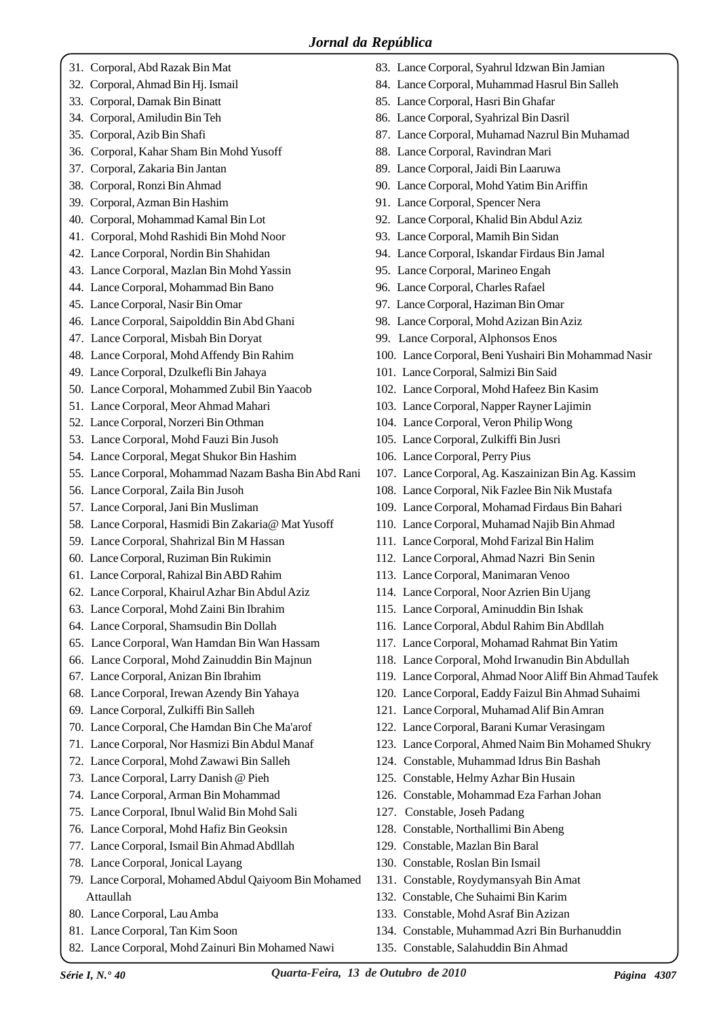- 31. Corporal, Abd Razak Bin Mat
- 32. Corporal, Ahmad Bin Hj. Ismail
- 33. Corporal, Damak Bin Binatt
- 34. Corporal, Amiludin Bin Teh
- 35. Corporal, Azib Bin Shafi
- 36. Corporal, Kahar Sham Bin Mohd Yusoff
- 37. Corporal, Zakaria Bin Jantan
- 38. Corporal, Ronzi Bin Ahmad
- 39. Corporal, Azman Bin Hashim
- 40. Corporal, Mohammad Kamal Bin Lot
- 41. Corporal, Mohd Rashidi Bin Mohd Noor
- 42. Lance Corporal, Nordin Bin Shahidan
- 43. Lance Corporal, Mazlan Bin Mohd Yassin
- 44. Lance Corporal, Mohammad Bin Bano
- 45. Lance Corporal, Nasir Bin Omar
- 46. Lance Corporal, Saipolddin Bin Abd Ghani
- 47. Lance Corporal, Misbah Bin Doryat
- 48. Lance Corporal, Mohd Affendy Bin Rahim
- 49. Lance Corporal, Dzulkefli Bin Jahaya
- 50. Lance Corporal, Mohammed Zubil Bin Yaacob
- 51. Lance Corporal, Meor Ahmad Mahari
- 52. Lance Corporal, Norzeri Bin Othman
- 53. Lance Corporal, Mohd Fauzi Bin Jusoh
- 54. Lance Corporal, Megat Shukor Bin Hashim
- 55. Lance Corporal, Mohammad Nazam Basha Bin Abd Rani
- 56. Lance Corporal, Zaila Bin Jusoh
- 57. Lance Corporal, Jani Bin Musliman
- 58. Lance Corporal, Hasmidi Bin Zakaria@ Mat Yusoff
- 59. Lance Corporal, Shahrizal Bin M Hassan
- 60. Lance Corporal, Ruziman Bin Rukimin
- 61. Lance Corporal, Rahizal Bin ABD Rahim
- 62. Lance Corporal, Khairul Azhar Bin Abdul Aziz
- 63. Lance Corporal, Mohd Zaini Bin Ibrahim
- 64. Lance Corporal, Shamsudin Bin Dollah
- 65. Lance Corporal, Wan Hamdan Bin Wan Hassam
- 66. Lance Corporal, Mohd Zainuddin Bin Majnun
- 67. Lance Corporal, Anizan Bin Ibrahim
- 68. Lance Corporal, Irewan Azendy Bin Yahaya
- 69. Lance Corporal, Zulkiffi Bin Salleh
- 70. Lance Corporal, Che Hamdan Bin Che Ma'arof
- 71. Lance Corporal, Nor Hasmizi Bin Abdul Manaf
- 72. Lance Corporal, Mohd Zawawi Bin Salleh
- 73. Lance Corporal, Larry Danish @ Pieh
- 74. Lance Corporal, Arman Bin Mohammad
- 75. Lance Corporal, Ibnul Walid Bin Mohd Sali
- 76. Lance Corporal, Mohd Hafiz Bin Geoksin
- 77. Lance Corporal, Ismail Bin Ahmad Abdllah
- 78. Lance Corporal, Jonical Layang
- 79. Lance Corporal, Mohamed Abdul Qaiyoom Bin Mohamed Attaullah
- 80. Lance Corporal, Lau Amba
- 81. Lance Corporal, Tan Kim Soon
- 82. Lance Corporal, Mohd Zainuri Bin Mohamed Nawi
- 83. Lance Corporal, Syahrul Idzwan Bin Jamian
- 84. Lance Corporal, Muhammad Hasrul Bin Salleh
- 85. Lance Corporal, Hasri Bin Ghafar
- 86. Lance Corporal, Syahrizal Bin Dasril
- 87. Lance Corporal, Muhamad Nazrul Bin Muhamad
- 88. Lance Corporal, Ravindran Mari
- 89. Lance Corporal, Jaidi Bin Laaruwa
- 90. Lance Corporal, Mohd Yatim Bin Ariffin
- 91. Lance Corporal, Spencer Nera
- 92. Lance Corporal, Khalid Bin Abdul Aziz
- 93. Lance Corporal, Mamih Bin Sidan
- 94. Lance Corporal, Iskandar Firdaus Bin Jamal
- 95. Lance Corporal, Marineo Engah
- 96. Lance Corporal, Charles Rafael
- 97. Lance Corporal, Haziman Bin Omar
- 98. Lance Corporal, Mohd Azizan Bin Aziz
- 99. Lance Corporal, Alphonsos Enos
- 100. Lance Corporal, Beni Yushairi Bin Mohammad Nasir
- 101. Lance Corporal, Salmizi Bin Said
- 102. Lance Corporal, Mohd Hafeez Bin Kasim
- 103. Lance Corporal, Napper Rayner Lajimin
- 104. Lance Corporal, Veron Philip Wong
- 105. Lance Corporal, Zulkiffi Bin Jusri
- 106. Lance Corporal, Perry Pius
- 107. Lance Corporal, Ag. Kaszainizan Bin Ag. Kassim
- 108. Lance Corporal, Nik Fazlee Bin Nik Mustafa
- 109. Lance Corporal, Mohamad Firdaus Bin Bahari
- 110. Lance Corporal, Muhamad Najib Bin Ahmad
- 111. Lance Corporal, Mohd Farizal Bin Halim
- 112. Lance Corporal, Ahmad Nazri Bin Senin
- 113. Lance Corporal, Manimaran Venoo
- 114. Lance Corporal, Noor Azrien Bin Ujang
- 115. Lance Corporal, Aminuddin Bin Ishak
- 116. Lance Corporal, Abdul Rahim Bin Abdllah
- 117. Lance Corporal, Mohamad Rahmat Bin Yatim
- 118. Lance Corporal, Mohd Irwanudin Bin Abdullah
- 119. Lance Corporal, Ahmad Noor Aliff Bin Ahmad Taufek
- 120. Lance Corporal, Eaddy Faizul Bin Ahmad Suhaimi
- 121. Lance Corporal, Muhamad Alif Bin Amran
- 122. Lance Corporal, Barani Kumar Verasingam
- 123. Lance Corporal, Ahmed Naim Bin Mohamed Shukry
- 124. Constable, Muhammad Idrus Bin Bashah
- 125. Constable, Helmy Azhar Bin Husain
- 126. Constable, Mohammad Eza Farhan Johan
- 127. Constable, Joseh Padang

*Série I, N.° 40 Quarta-Feira, 13 de Outubro de 2010 Página 4307*

128. Constable, Northallimi Bin Abeng

131. Constable, Roydymansyah Bin Amat 132. Constable, Che Suhaimi Bin Karim 133. Constable, Mohd Asraf Bin Azizan

135. Constable, Salahuddin Bin Ahmad

134. Constable, Muhammad Azri Bin Burhanuddin

129. Constable, Mazlan Bin Baral 130. Constable, Roslan Bin Ismail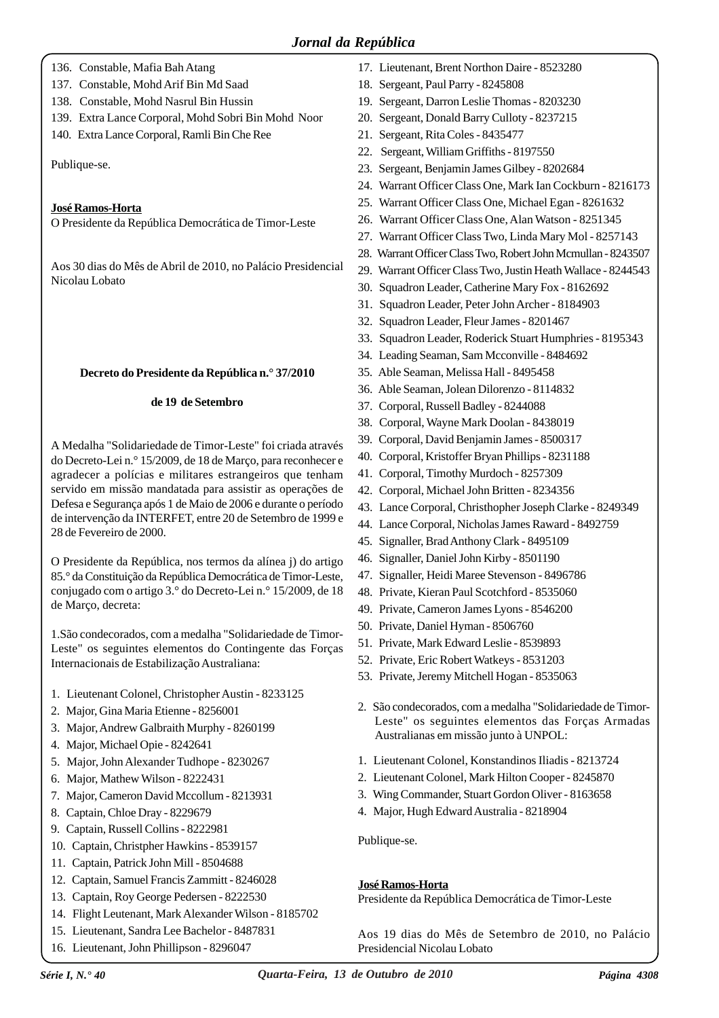- 136. Constable, Mafia Bah Atang
- 137. Constable, Mohd Arif Bin Md Saad
- 138. Constable, Mohd Nasrul Bin Hussin
- 139. Extra Lance Corporal, Mohd Sobri Bin Mohd Noor
- 140. Extra Lance Corporal, Ramli Bin Che Ree

Publique-se.

# **José Ramos-Horta**

O Presidente da República Democrática de Timor-Leste

Aos 30 dias do Mês de Abril de 2010, no Palácio Presidencial Nicolau Lobato

# **Decreto do Presidente da República n.° 37/2010**

### **de 19 de Setembro**

A Medalha "Solidariedade de Timor-Leste" foi criada através do Decreto-Lei n.° 15/2009, de 18 de Março, para reconhecer e agradecer a polícias e militares estrangeiros que tenham servido em missão mandatada para assistir as operações de Defesa e Segurança após 1 de Maio de 2006 e durante o período de intervenção da INTERFET, entre 20 de Setembro de 1999 e 28 de Fevereiro de 2000.

O Presidente da República, nos termos da alínea j) do artigo 85.° da Constituição da República Democrática de Timor-Leste, conjugado com o artigo 3.° do Decreto-Lei n.° 15/2009, de 18 de Março, decreta:

1.São condecorados, com a medalha "Solidariedade de Timor-Leste" os seguintes elementos do Contingente das Forças Internacionais de Estabilização Australiana:

- 1. Lieutenant Colonel, Christopher Austin 8233125
- 2. Major, Gina Maria Etienne 8256001
- 3. Major, Andrew Galbraith Murphy 8260199
- 4. Major, Michael Opie 8242641
- 5. Major, John Alexander Tudhope 8230267
- 6. Major, Mathew Wilson 8222431
- 7. Major, Cameron David Mccollum 8213931
- 8. Captain, Chloe Dray 8229679
- 9. Captain, Russell Collins 8222981
- 10. Captain, Christpher Hawkins 8539157
- 11. Captain, Patrick John Mill 8504688
- 12. Captain, Samuel Francis Zammitt 8246028
- 13. Captain, Roy George Pedersen 8222530
- 14. Flight Leutenant, Mark Alexander Wilson 8185702
- 15. Lieutenant, Sandra Lee Bachelor 8487831
- 16. Lieutenant, John Phillipson 8296047
- 17. Lieutenant, Brent Northon Daire 8523280
- 18. Sergeant, Paul Parry 8245808
- 19. Sergeant, Darron Leslie Thomas 8203230
- 20. Sergeant, Donald Barry Culloty 8237215
- 21. Sergeant, Rita Coles 8435477
- 22. Sergeant, William Griffiths 8197550
- 23. Sergeant, Benjamin James Gilbey 8202684
- 24. Warrant Officer Class One, Mark Ian Cockburn 8216173
- 25. Warrant Officer Class One, Michael Egan 8261632
- 26. Warrant Officer Class One, Alan Watson 8251345
- 27. Warrant Officer Class Two, Linda Mary Mol 8257143
- 28. Warrant Officer Class Two, Robert John Mcmullan 8243507
- 29. Warrant Officer Class Two, Justin Heath Wallace 8244543
- 30. Squadron Leader, Catherine Mary Fox 8162692
- 31. Squadron Leader, Peter John Archer 8184903
- 32. Squadron Leader, Fleur James 8201467
- 33. Squadron Leader, Roderick Stuart Humphries 8195343
- 34. Leading Seaman, Sam Mcconville 8484692
- 35. Able Seaman, Melissa Hall 8495458
- 36. Able Seaman, Jolean Dilorenzo 8114832
- 37. Corporal, Russell Badley 8244088
- 38. Corporal, Wayne Mark Doolan 8438019
- 39. Corporal, David Benjamin James 8500317
- 40. Corporal, Kristoffer Bryan Phillips 8231188
- 41. Corporal, Timothy Murdoch 8257309
- 42. Corporal, Michael John Britten 8234356
- 43. Lance Corporal, Christhopher Joseph Clarke 8249349
- 44. Lance Corporal, Nicholas James Raward 8492759
- 45. Signaller, Brad Anthony Clark 8495109
- 46. Signaller, Daniel John Kirby 8501190
- 47. Signaller, Heidi Maree Stevenson 8496786
- 48. Private, Kieran Paul Scotchford 8535060
- 49. Private, Cameron James Lyons 8546200
- 50. Private, Daniel Hyman 8506760
- 51. Private, Mark Edward Leslie 8539893
- 52. Private, Eric Robert Watkeys 8531203
- 53. Private, Jeremy Mitchell Hogan 8535063
- 2. São condecorados, com a medalha "Solidariedade de Timor-Leste" os seguintes elementos das Forças Armadas Australianas em missão junto à UNPOL:
- 1. Lieutenant Colonel, Konstandinos Iliadis 8213724
- 2. Lieutenant Colonel, Mark Hilton Cooper 8245870
- 3. Wing Commander, Stuart Gordon Oliver 8163658
- 4. Major, Hugh Edward Australia 8218904

Publique-se.

# **José Ramos-Horta**

Presidente da República Democrática de Timor-Leste

Aos 19 dias do Mês de Setembro de 2010, no Palácio Presidencial Nicolau Lobato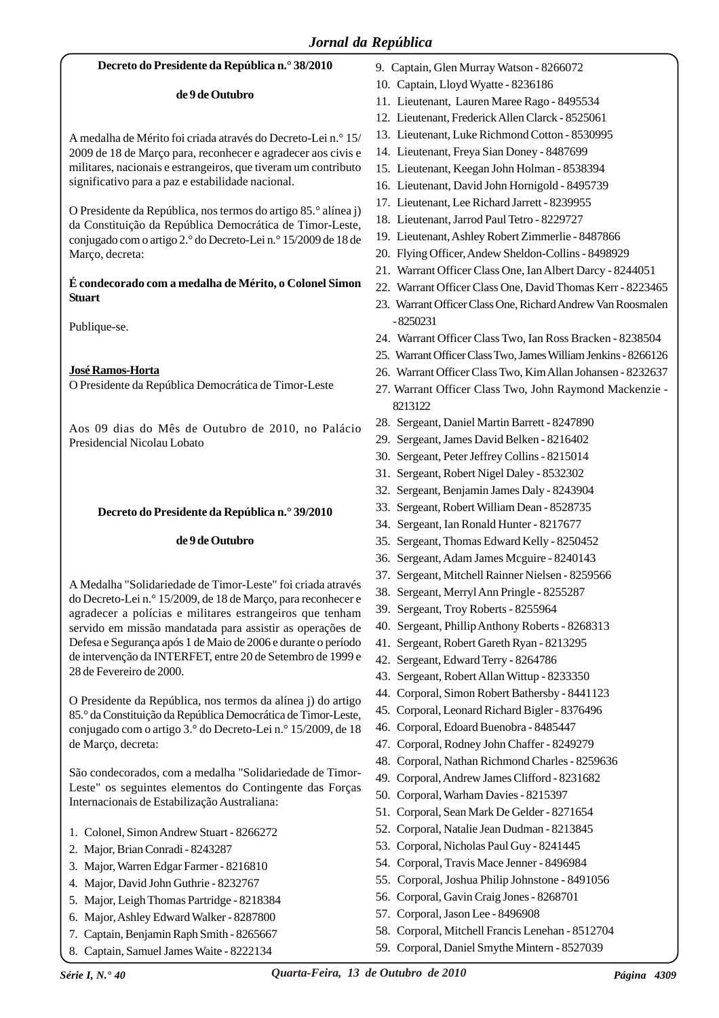#### **Decreto do Presidente da República n.° 38/2010**

#### **de 9 de Outubro**

A medalha de Mérito foi criada através do Decreto-Lei n.° 15/ 2009 de 18 de Março para, reconhecer e agradecer aos civis e militares, nacionais e estrangeiros, que tiveram um contributo significativo para a paz e estabilidade nacional.

O Presidente da República, nos termos do artigo 85.° alínea j) da Constituição da República Democrática de Timor-Leste, conjugado com o artigo 2.° do Decreto-Lei n.° 15/2009 de 18 de Março, decreta:

### **É condecorado com a medalha de Mérito, o Colonel Simon Stuart**

Publique-se.

# **José Ramos-Horta**

O Presidente da República Democrática de Timor-Leste

Aos 09 dias do Mês de Outubro de 2010, no Palácio Presidencial Nicolau Lobato

#### **Decreto do Presidente da República n.° 39/2010**

#### **de 9 de Outubro**

A Medalha "Solidariedade de Timor-Leste" foi criada através do Decreto-Lei n.° 15/2009, de 18 de Março, para reconhecer e agradecer a polícias e militares estrangeiros que tenham servido em missão mandatada para assistir as operações de Defesa e Segurança após 1 de Maio de 2006 e durante o período de intervenção da INTERFET, entre 20 de Setembro de 1999 e 28 de Fevereiro de 2000.

O Presidente da República, nos termos da alínea j) do artigo 85.° da Constituição da República Democrática de Timor-Leste, conjugado com o artigo 3.° do Decreto-Lei n.° 15/2009, de 18 de Março, decreta:

São condecorados, com a medalha "Solidariedade de Timor-Leste" os seguintes elementos do Contingente das Forças Internacionais de Estabilização Australiana:

- 1. Colonel, Simon Andrew Stuart 8266272
- 2. Major, Brian Conradi 8243287
- 3. Major, Warren Edgar Farmer 8216810
- 4. Major, David John Guthrie 8232767
- 5. Major, Leigh Thomas Partridge 8218384
- 6. Major, Ashley Edward Walker 8287800
- 7. Captain, Benjamin Raph Smith 8265667
- 8. Captain, Samuel James Waite 8222134
- 9. Captain, Glen Murray Watson 8266072
- 10. Captain, Lloyd Wyatte 8236186
- 11. Lieutenant, Lauren Maree Rago 8495534
- 12. Lieutenant, Frederick Allen Clarck 8525061
- 13. Lieutenant, Luke Richmond Cotton 8530995
- 14. Lieutenant, Freya Sian Doney 8487699
- 15. Lieutenant, Keegan John Holman 8538394
- 16. Lieutenant, David John Hornigold 8495739
- 17. Lieutenant, Lee Richard Jarrett 8239955
- 18. Lieutenant, Jarrod Paul Tetro 8229727
- 19. Lieutenant, Ashley Robert Zimmerlie 8487866
- 20. Flying Officer, Andew Sheldon-Collins 8498929
- 21. Warrant Officer Class One, Ian Albert Darcy 8244051
- 22. Warrant Officer Class One, David Thomas Kerr 8223465
- 23. Warrant Officer Class One, Richard Andrew Van Roosmalen - 8250231
- 24. Warrant Officer Class Two, Ian Ross Bracken 8238504
- 25. Warrant Officer Class Two, James William Jenkins 8266126
- 26. Warrant Officer Class Two, Kim Allan Johansen 8232637
- 27. Warrant Officer Class Two, John Raymond Mackenzie 8213122
- 28. Sergeant, Daniel Martin Barrett 8247890
- 29. Sergeant, James David Belken 8216402
- 30. Sergeant, Peter Jeffrey Collins 8215014
- 31. Sergeant, Robert Nigel Daley 8532302
- 32. Sergeant, Benjamin James Daly 8243904
- 33. Sergeant, Robert William Dean 8528735
- 34. Sergeant, Ian Ronald Hunter 8217677
- 35. Sergeant, Thomas Edward Kelly 8250452
- 36. Sergeant, Adam James Mcguire 8240143
- 37. Sergeant, Mitchell Rainner Nielsen 8259566
- 38. Sergeant, Merryl Ann Pringle 8255287
- 39. Sergeant, Troy Roberts 8255964
- 40. Sergeant, Phillip Anthony Roberts 8268313
- 41. Sergeant, Robert Gareth Ryan 8213295
- 42. Sergeant, Edward Terry 8264786
- 43. Sergeant, Robert Allan Wittup 8233350
- 44. Corporal, Simon Robert Bathersby 8441123
- 45. Corporal, Leonard Richard Bigler 8376496
- 46. Corporal, Edoard Buenobra 8485447
- 47. Corporal, Rodney John Chaffer 8249279
- 48. Corporal, Nathan Richmond Charles 8259636
- 49. Corporal, Andrew James Clifford 8231682
- 50. Corporal, Warham Davies 8215397
- 51. Corporal, Sean Mark De Gelder 8271654
- 52. Corporal, Natalie Jean Dudman 8213845
- 53. Corporal, Nicholas Paul Guy 8241445
- 54. Corporal, Travis Mace Jenner 8496984
- 55. Corporal, Joshua Philip Johnstone 8491056
- 56. Corporal, Gavin Craig Jones 8268701
- 57. Corporal, Jason Lee 8496908
- 58. Corporal, Mitchell Francis Lenehan 8512704
- 59. Corporal, Daniel Smythe Mintern 8527039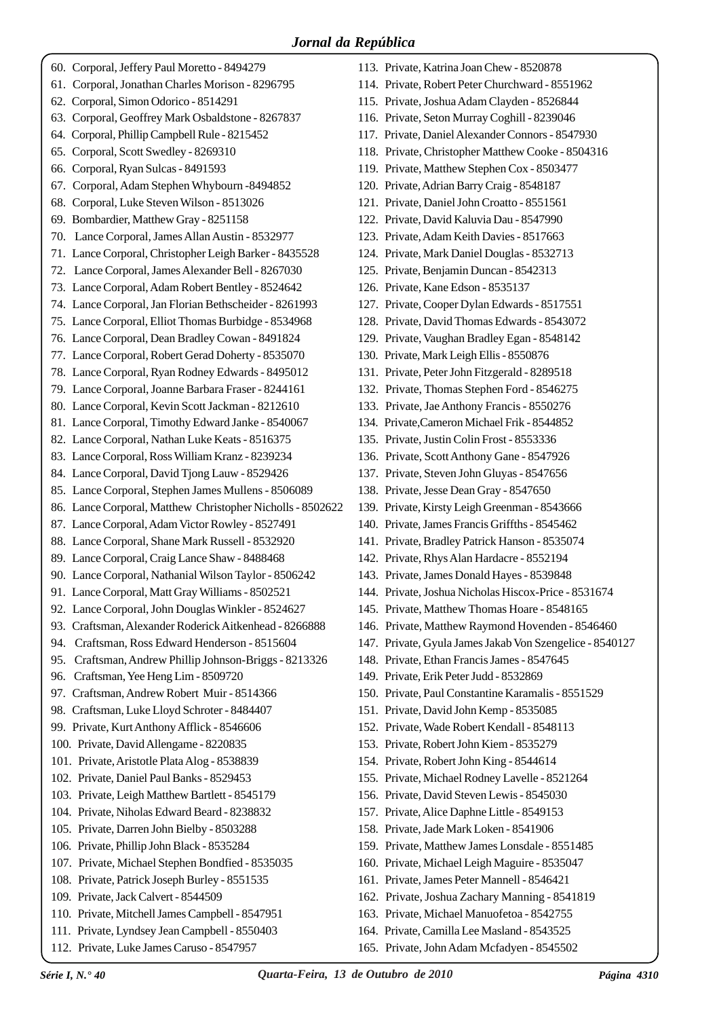- 60. Corporal, Jeffery Paul Moretto 8494279
- 61. Corporal, Jonathan Charles Morison 8296795
- 62. Corporal, Simon Odorico 8514291
- 63. Corporal, Geoffrey Mark Osbaldstone 8267837
- 64. Corporal, Phillip Campbell Rule 8215452 65. Corporal, Scott Swedley - 8269310
- 66. Corporal, Ryan Sulcas 8491593
- 67. Corporal, Adam Stephen Whybourn -8494852
- 68. Corporal, Luke Steven Wilson 8513026
- 69. Bombardier, Matthew Gray 8251158
- 70. Lance Corporal, James Allan Austin 8532977
- 71. Lance Corporal, Christopher Leigh Barker 8435528
- 72. Lance Corporal, James Alexander Bell 8267030
- 73. Lance Corporal, Adam Robert Bentley 8524642
- 74. Lance Corporal, Jan Florian Bethscheider 8261993
- 75. Lance Corporal, Elliot Thomas Burbidge 8534968
- 76. Lance Corporal, Dean Bradley Cowan 8491824
- 77. Lance Corporal, Robert Gerad Doherty 8535070
- 78. Lance Corporal, Ryan Rodney Edwards 8495012
- 79. Lance Corporal, Joanne Barbara Fraser 8244161
- 80. Lance Corporal, Kevin Scott Jackman 8212610
- 81. Lance Corporal, Timothy Edward Janke 8540067
- 82. Lance Corporal, Nathan Luke Keats 8516375
- 83. Lance Corporal, Ross William Kranz 8239234
- 84. Lance Corporal, David Tjong Lauw 8529426
- 85. Lance Corporal, Stephen James Mullens 8506089
- 86. Lance Corporal, Matthew Christopher Nicholls 8502622
- 87. Lance Corporal, Adam Victor Rowley 8527491
- 88. Lance Corporal, Shane Mark Russell 8532920
- 89. Lance Corporal, Craig Lance Shaw 8488468
- 90. Lance Corporal, Nathanial Wilson Taylor 8506242
- 91. Lance Corporal, Matt Gray Williams 8502521
- 92. Lance Corporal, John Douglas Winkler 8524627
- 93. Craftsman, Alexander Roderick Aitkenhead 8266888
- 94. Craftsman, Ross Edward Henderson 8515604
- 95. Craftsman, Andrew Phillip Johnson-Briggs 8213326
- 96. Craftsman, Yee Heng Lim 8509720
- 97. Craftsman, Andrew Robert Muir 8514366
- 98. Craftsman, Luke Lloyd Schroter 8484407
- 99. Private, Kurt Anthony Afflick 8546606
- 100. Private, David Allengame 8220835
- 101. Private, Aristotle Plata Alog 8538839
- 102. Private, Daniel Paul Banks 8529453
- 103. Private, Leigh Matthew Bartlett 8545179
- 104. Private, Niholas Edward Beard 8238832
- 105. Private, Darren John Bielby 8503288
- 106. Private, Phillip John Black 8535284
- 107. Private, Michael Stephen Bondfied 8535035
- 108. Private, Patrick Joseph Burley 8551535
- 109. Private, Jack Calvert 8544509
- 110. Private, Mitchell James Campbell 8547951
- 111. Private, Lyndsey Jean Campbell 8550403
- 112. Private, Luke James Caruso 8547957
- 113. Private, Katrina Joan Chew 8520878
- 114. Private, Robert Peter Churchward 8551962
- 115. Private, Joshua Adam Clayden 8526844
- 116. Private, Seton Murray Coghill 8239046
- 117. Private, Daniel Alexander Connors 8547930
- 118. Private, Christopher Matthew Cooke 8504316
- 119. Private, Matthew Stephen Cox 8503477
- 120. Private, Adrian Barry Craig 8548187
- 121. Private, Daniel John Croatto 8551561
- 122. Private, David Kaluvia Dau 8547990
- 123. Private, Adam Keith Davies 8517663
- 124. Private, Mark Daniel Douglas 8532713
- 125. Private, Benjamin Duncan 8542313
- 126. Private, Kane Edson 8535137
- 127. Private, Cooper Dylan Edwards 8517551
- 128. Private, David Thomas Edwards 8543072
- 129. Private, Vaughan Bradley Egan 8548142
- 130. Private, Mark Leigh Ellis 8550876
- 131. Private, Peter John Fitzgerald 8289518
- 132. Private, Thomas Stephen Ford 8546275
- 133. Private, Jae Anthony Francis 8550276
- 134. Private,Cameron Michael Frik 8544852
- 135. Private, Justin Colin Frost 8553336
- 136. Private, Scott Anthony Gane 8547926
- 137. Private, Steven John Gluyas 8547656
- 138. Private, Jesse Dean Gray 8547650
- 139. Private, Kirsty Leigh Greenman 8543666
- 140. Private, James Francis Griffths 8545462
- 141. Private, Bradley Patrick Hanson 8535074
- 142. Private, Rhys Alan Hardacre 8552194
- 143. Private, James Donald Hayes 8539848
- 144. Private, Joshua Nicholas Hiscox-Price 8531674
- 145. Private, Matthew Thomas Hoare 8548165
- 146. Private, Matthew Raymond Hovenden 8546460
- 147. Private, Gyula James Jakab Von Szengelice 8540127
- 148. Private, Ethan Francis James 8547645
- 149. Private, Erik Peter Judd 8532869
- 150. Private, Paul Constantine Karamalis 8551529
- 151. Private, David John Kemp 8535085
- 152. Private, Wade Robert Kendall 8548113
- 153. Private, Robert John Kiem 8535279
- 154. Private, Robert John King 8544614
- 155. Private, Michael Rodney Lavelle 8521264
- 156. Private, David Steven Lewis 8545030
- 157. Private, Alice Daphne Little 8549153

161. Private, James Peter Mannell - 8546421 162. Private, Joshua Zachary Manning - 8541819 163. Private, Michael Manuofetoa - 8542755 164. Private, Camilla Lee Masland - 8543525 165. Private, John Adam Mcfadyen - 8545502

158. Private, Jade Mark Loken - 8541906

*Série I, N.° 40 Quarta-Feira, 13 de Outubro de 2010 Página 4310*

159. Private, Matthew James Lonsdale - 8551485 160. Private, Michael Leigh Maguire - 8535047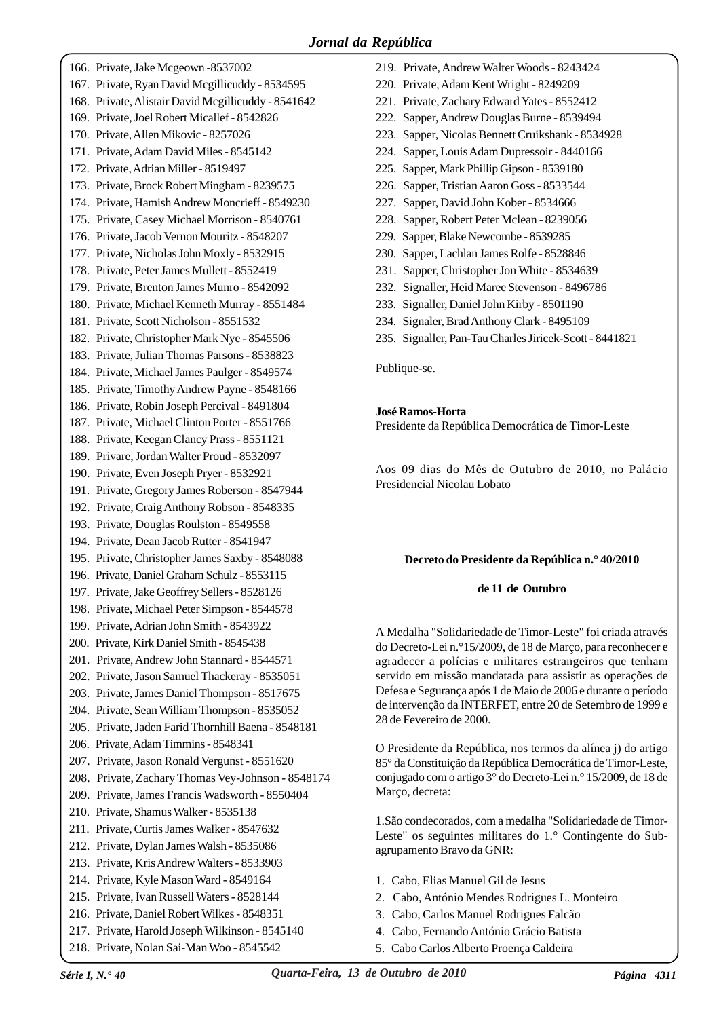- 166. Private, Jake Mcgeown -8537002 167. Private, Ryan David Mcgillicuddy - 8534595 168. Private, Alistair David Mcgillicuddy - 8541642 169. Private, Joel Robert Micallef - 8542826 170. Private, Allen Mikovic - 8257026 171. Private, Adam David Miles - 8545142 172. Private, Adrian Miller - 8519497 173. Private, Brock Robert Mingham - 8239575 174. Private, Hamish Andrew Moncrieff - 8549230 175. Private, Casey Michael Morrison - 8540761 176. Private, Jacob Vernon Mouritz - 8548207 177. Private, Nicholas John Moxly - 8532915 178. Private, Peter James Mullett - 8552419 179. Private, Brenton James Munro - 8542092 180. Private, Michael Kenneth Murray - 8551484 181. Private, Scott Nicholson - 8551532 182. Private, Christopher Mark Nye - 8545506 183. Private, Julian Thomas Parsons - 8538823 184. Private, Michael James Paulger - 8549574 185. Private, Timothy Andrew Payne - 8548166 186. Private, Robin Joseph Percival - 8491804 187. Private, Michael Clinton Porter - 8551766 188. Private, Keegan Clancy Prass - 8551121 189. Privare, Jordan Walter Proud - 8532097 190. Private, Even Joseph Pryer - 8532921 191. Private, Gregory James Roberson - 8547944 192. Private, Craig Anthony Robson - 8548335 193. Private, Douglas Roulston - 8549558 194. Private, Dean Jacob Rutter - 8541947 195. Private, Christopher James Saxby - 8548088 196. Private, Daniel Graham Schulz - 8553115 197. Private, Jake Geoffrey Sellers - 8528126 198. Private, Michael Peter Simpson - 8544578 199. Private, Adrian John Smith - 8543922 200. Private, Kirk Daniel Smith - 8545438 201. Private, Andrew John Stannard - 8544571 202. Private, Jason Samuel Thackeray - 8535051 203. Private, James Daniel Thompson - 8517675 204. Private, Sean William Thompson - 8535052 205. Private, Jaden Farid Thornhill Baena - 8548181 206. Private, Adam Timmins - 8548341 207. Private, Jason Ronald Vergunst - 8551620 208. Private, Zachary Thomas Vey-Johnson - 8548174 209. Private, James Francis Wadsworth - 8550404 210. Private, Shamus Walker - 8535138 211. Private, Curtis James Walker - 8547632 212. Private, Dylan James Walsh - 8535086 213. Private, Kris Andrew Walters - 8533903 214. Private, Kyle Mason Ward - 8549164 215. Private, Ivan Russell Waters - 8528144 216. Private, Daniel Robert Wilkes - 8548351 217. Private, Harold Joseph Wilkinson - 8545140 218. Private, Nolan Sai-Man Woo - 8545542
- 219. Private, Andrew Walter Woods 8243424
- 220. Private, Adam Kent Wright 8249209
- 221. Private, Zachary Edward Yates 8552412
- 222. Sapper, Andrew Douglas Burne 8539494
- 223. Sapper, Nicolas Bennett Cruikshank 8534928
- 224. Sapper, Louis Adam Dupressoir 8440166
- 225. Sapper, Mark Phillip Gipson 8539180
- 226. Sapper, Tristian Aaron Goss 8533544
- 227. Sapper, David John Kober 8534666
- 228. Sapper, Robert Peter Mclean 8239056
- 229. Sapper, Blake Newcombe 8539285
- 230. Sapper, Lachlan James Rolfe 8528846
- 231. Sapper, Christopher Jon White 8534639
- 232. Signaller, Heid Maree Stevenson 8496786
- 233. Signaller, Daniel John Kirby 8501190
- 234. Signaler, Brad Anthony Clark 8495109
- 235. Signaller, Pan-Tau Charles Jiricek-Scott 8441821

Publique-se.

# **José Ramos-Horta**

Presidente da República Democrática de Timor-Leste

Aos 09 dias do Mês de Outubro de 2010, no Palácio Presidencial Nicolau Lobato

# **Decreto do Presidente da República n.° 40/2010**

#### **de 11 de Outubro**

A Medalha "Solidariedade de Timor-Leste" foi criada através do Decreto-Lei n.°15/2009, de 18 de Março, para reconhecer e agradecer a polícias e militares estrangeiros que tenham servido em missão mandatada para assistir as operações de Defesa e Segurança após 1 de Maio de 2006 e durante o período de intervenção da INTERFET, entre 20 de Setembro de 1999 e 28 de Fevereiro de 2000.

O Presidente da República, nos termos da alínea j) do artigo 85° da Constituição da República Democrática de Timor-Leste, conjugado com o artigo 3° do Decreto-Lei n.° 15/2009, de 18 de Março, decreta:

1.São condecorados, com a medalha "Solidariedade de Timor-Leste" os seguintes militares do 1.° Contingente do Subagrupamento Bravo da GNR:

- 1. Cabo, Elias Manuel Gil de Jesus
- 2. Cabo, António Mendes Rodrigues L. Monteiro
- 3. Cabo, Carlos Manuel Rodrigues Falcão
- 4. Cabo, Fernando António Grácio Batista
- 5. Cabo Carlos Alberto Proença Caldeira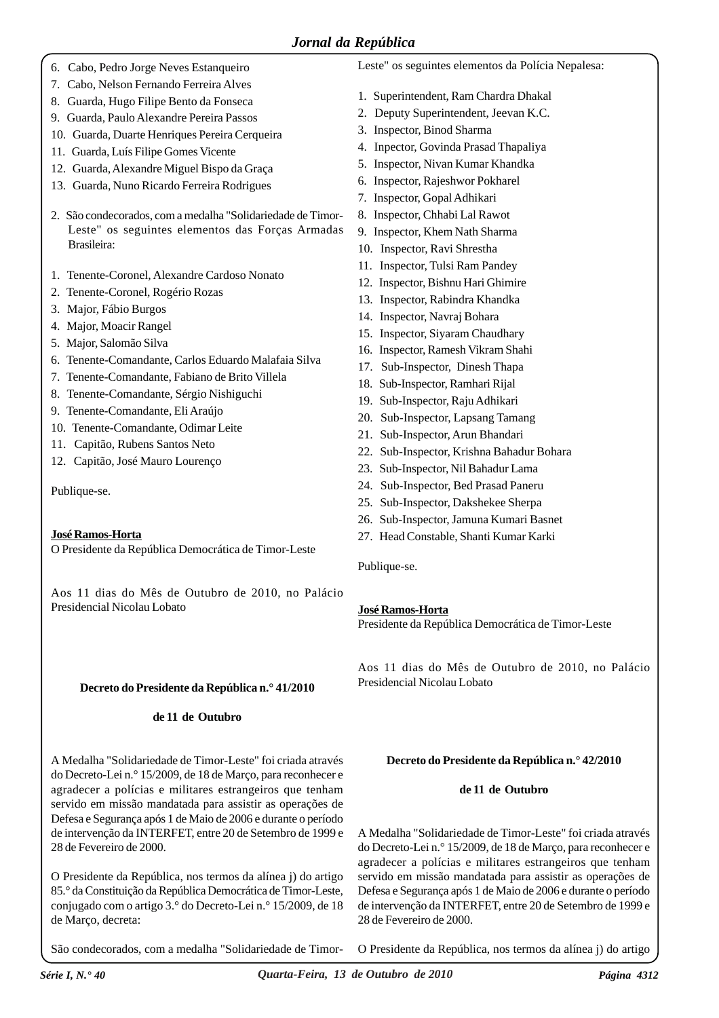- 6. Cabo, Pedro Jorge Neves Estanqueiro
- 7. Cabo, Nelson Fernando Ferreira Alves
- 8. Guarda, Hugo Filipe Bento da Fonseca
- 9. Guarda, Paulo Alexandre Pereira Passos
- 10. Guarda, Duarte Henriques Pereira Cerqueira
- 11. Guarda, Luís Filipe Gomes Vicente
- 12. Guarda, Alexandre Miguel Bispo da Graça
- 13. Guarda, Nuno Ricardo Ferreira Rodrigues
- 2. São condecorados, com a medalha "Solidariedade de Timor-Leste" os seguintes elementos das Forças Armadas Brasileira:
- 1. Tenente-Coronel, Alexandre Cardoso Nonato
- 2. Tenente-Coronel, Rogério Rozas
- 3. Major, Fábio Burgos
- 4. Major, Moacir Rangel
- 5. Major, Salomão Silva
- 6. Tenente-Comandante, Carlos Eduardo Malafaia Silva
- 7. Tenente-Comandante, Fabiano de Brito Villela
- 8. Tenente-Comandante, Sérgio Nishiguchi
- 9. Tenente-Comandante, Eli Araújo
- 10. Tenente-Comandante, Odimar Leite
- 11. Capitão, Rubens Santos Neto
- 12. Capitão, José Mauro Lourenço

Publique-se.

# **José Ramos-Horta**

O Presidente da República Democrática de Timor-Leste

Aos 11 dias do Mês de Outubro de 2010, no Palácio Presidencial Nicolau Lobato

# **Decreto do Presidente da República n.° 41/2010**

# **de 11 de Outubro**

A Medalha "Solidariedade de Timor-Leste" foi criada através do Decreto-Lei n.° 15/2009, de 18 de Março, para reconhecer e agradecer a polícias e militares estrangeiros que tenham servido em missão mandatada para assistir as operações de Defesa e Segurança após 1 de Maio de 2006 e durante o período de intervenção da INTERFET, entre 20 de Setembro de 1999 e 28 de Fevereiro de 2000.

O Presidente da República, nos termos da alínea j) do artigo 85.° da Constituição da República Democrática de Timor-Leste, conjugado com o artigo 3.° do Decreto-Lei n.° 15/2009, de 18 de Março, decreta:

São condecorados, com a medalha "Solidariedade de Timor-

Leste" os seguintes elementos da Polícia Nepalesa:

- 1. Superintendent, Ram Chardra Dhakal
- 2. Deputy Superintendent, Jeevan K.C.
- 3. Inspector, Binod Sharma
- 4. Inpector, Govinda Prasad Thapaliya
- 5. Inspector, Nivan Kumar Khandka
- 6. Inspector, Rajeshwor Pokharel
- 7. Inspector, Gopal Adhikari
- 8. Inspector, Chhabi Lal Rawot
- 9. Inspector, Khem Nath Sharma
- 10. Inspector, Ravi Shrestha
- 11. Inspector, Tulsi Ram Pandey
- 12. Inspector, Bishnu Hari Ghimire
- 13. Inspector, Rabindra Khandka
- 14. Inspector, Navraj Bohara
- 15. Inspector, Siyaram Chaudhary
- 16. Inspector, Ramesh Vikram Shahi
- 17. Sub-Inspector, Dinesh Thapa
- 18. Sub-Inspector, Ramhari Rijal
- 19. Sub-Inspector, Raju Adhikari
- 20. Sub-Inspector, Lapsang Tamang
- 21. Sub-Inspector, Arun Bhandari
- 22. Sub-Inspector, Krishna Bahadur Bohara
- 23. Sub-Inspector, Nil Bahadur Lama
- 24. Sub-Inspector, Bed Prasad Paneru
- 25. Sub-Inspector, Dakshekee Sherpa
- 26. Sub-Inspector, Jamuna Kumari Basnet
- 27. Head Constable, Shanti Kumar Karki

Publique-se.

# **José Ramos-Horta**

Presidente da República Democrática de Timor-Leste

Aos 11 dias do Mês de Outubro de 2010, no Palácio Presidencial Nicolau Lobato

# **Decreto do Presidente da República n.° 42/2010**

#### **de 11 de Outubro**

A Medalha "Solidariedade de Timor-Leste" foi criada através do Decreto-Lei n.° 15/2009, de 18 de Março, para reconhecer e agradecer a polícias e militares estrangeiros que tenham servido em missão mandatada para assistir as operações de Defesa e Segurança após 1 de Maio de 2006 e durante o período de intervenção da INTERFET, entre 20 de Setembro de 1999 e 28 de Fevereiro de 2000.

O Presidente da República, nos termos da alínea j) do artigo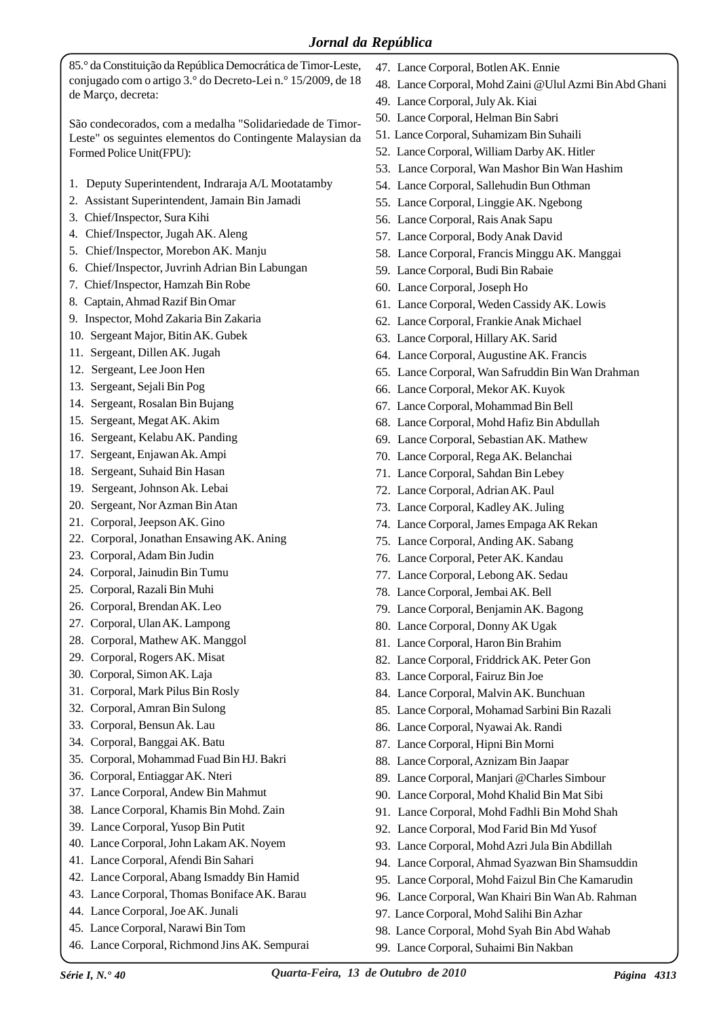85.° da Constituição da República Democrática de Timor-Leste, conjugado com o artigo 3.° do Decreto-Lei n.° 15/2009, de 18 de Março, decreta:

São condecorados, com a medalha "Solidariedade de Timor-Leste" os seguintes elementos do Contingente Malaysian da Formed Police Unit(FPU):

- 1. Deputy Superintendent, Indraraja A/L Mootatamby
- 2. Assistant Superintendent, Jamain Bin Jamadi
- 3. Chief/Inspector, Sura Kihi
- 4. Chief/Inspector, Jugah AK. Aleng
- 5. Chief/Inspector, Morebon AK. Manju
- 6. Chief/Inspector, Juvrinh Adrian Bin Labungan
- 7. Chief/Inspector, Hamzah Bin Robe
- 8. Captain, Ahmad Razif Bin Omar
- 9. Inspector, Mohd Zakaria Bin Zakaria
- 10. Sergeant Major, Bitin AK. Gubek
- 11. Sergeant, Dillen AK. Jugah
- 12. Sergeant, Lee Joon Hen
- 13. Sergeant, Sejali Bin Pog
- 14. Sergeant, Rosalan Bin Bujang
- 15. Sergeant, Megat AK. Akim
- 16. Sergeant, Kelabu AK. Panding
- 17. Sergeant, Enjawan Ak. Ampi
- 18. Sergeant, Suhaid Bin Hasan
- 19. Sergeant, Johnson Ak. Lebai
- 20. Sergeant, Nor Azman Bin Atan
- 21. Corporal, Jeepson AK. Gino
- 22. Corporal, Jonathan Ensawing AK. Aning
- 23. Corporal, Adam Bin Judin
- 24. Corporal, Jainudin Bin Tumu
- 25. Corporal, Razali Bin Muhi
- 26. Corporal, Brendan AK. Leo
- 27. Corporal, Ulan AK. Lampong
- 28. Corporal, Mathew AK. Manggol
- 29. Corporal, Rogers AK. Misat
- 30. Corporal, Simon AK. Laja
- 31. Corporal, Mark Pilus Bin Rosly
- 32. Corporal, Amran Bin Sulong
- 33. Corporal, Bensun Ak. Lau
- 34. Corporal, Banggai AK. Batu
- 35. Corporal, Mohammad Fuad Bin HJ. Bakri
- 36. Corporal, Entiaggar AK. Nteri
- 37. Lance Corporal, Andew Bin Mahmut
- 38. Lance Corporal, Khamis Bin Mohd. Zain
- 39. Lance Corporal, Yusop Bin Putit
- 40. Lance Corporal, John Lakam AK. Noyem
- 41. Lance Corporal, Afendi Bin Sahari
- 42. Lance Corporal, Abang Ismaddy Bin Hamid
- 43. Lance Corporal, Thomas Boniface AK. Barau
- 44. Lance Corporal, Joe AK. Junali
- 45. Lance Corporal, Narawi Bin Tom
- 46. Lance Corporal, Richmond Jins AK. Sempurai
- 47. Lance Corporal, Botlen AK. Ennie
- 48. Lance Corporal, Mohd Zaini @Ulul Azmi Bin Abd Ghani
- 49. Lance Corporal, July Ak. Kiai
- 50. Lance Corporal, Helman Bin Sabri
- 51. Lance Corporal, Suhamizam Bin Suhaili
- 52. Lance Corporal, William Darby AK. Hitler
- 53. Lance Corporal, Wan Mashor Bin Wan Hashim
- 54. Lance Corporal, Sallehudin Bun Othman
- 55. Lance Corporal, Linggie AK. Ngebong
- 56. Lance Corporal, Rais Anak Sapu
- 57. Lance Corporal, Body Anak David
- 58. Lance Corporal, Francis Minggu AK. Manggai
- 59. Lance Corporal, Budi Bin Rabaie
- 60. Lance Corporal, Joseph Ho
- 61. Lance Corporal, Weden Cassidy AK. Lowis
- 62. Lance Corporal, Frankie Anak Michael
- 63. Lance Corporal, Hillary AK. Sarid
- 64. Lance Corporal, Augustine AK. Francis
- 65. Lance Corporal, Wan Safruddin Bin Wan Drahman
- 66. Lance Corporal, Mekor AK. Kuyok
- 67. Lance Corporal, Mohammad Bin Bell
- 68. Lance Corporal, Mohd Hafiz Bin Abdullah
- 69. Lance Corporal, Sebastian AK. Mathew
- 70. Lance Corporal, Rega AK. Belanchai
- 71. Lance Corporal, Sahdan Bin Lebey
- 72. Lance Corporal, Adrian AK. Paul
- 73. Lance Corporal, Kadley AK. Juling
- 74. Lance Corporal, James Empaga AK Rekan
- 75. Lance Corporal, Anding AK. Sabang
- 76. Lance Corporal, Peter AK. Kandau
- 77. Lance Corporal, Lebong AK. Sedau
- 78. Lance Corporal, Jembai AK. Bell
- 79. Lance Corporal, Benjamin AK. Bagong
- 80. Lance Corporal, Donny AK Ugak
- 81. Lance Corporal, Haron Bin Brahim
- 82. Lance Corporal, Friddrick AK. Peter Gon
- 83. Lance Corporal, Fairuz Bin Joe
- 84. Lance Corporal, Malvin AK. Bunchuan
- 85. Lance Corporal, Mohamad Sarbini Bin Razali
- 86. Lance Corporal, Nyawai Ak. Randi
- 87. Lance Corporal, Hipni Bin Morni
- 88. Lance Corporal, Aznizam Bin Jaapar
- 89. Lance Corporal, Manjari @Charles Simbour
- 90. Lance Corporal, Mohd Khalid Bin Mat Sibi
- 91. Lance Corporal, Mohd Fadhli Bin Mohd Shah
- 92. Lance Corporal, Mod Farid Bin Md Yusof
- 93. Lance Corporal, Mohd Azri Jula Bin Abdillah
- 94. Lance Corporal, Ahmad Syazwan Bin Shamsuddin
- 95. Lance Corporal, Mohd Faizul Bin Che Kamarudin
- 96. Lance Corporal, Wan Khairi Bin Wan Ab. Rahman
- 97. Lance Corporal, Mohd Salihi Bin Azhar

99. Lance Corporal, Suhaimi Bin Nakban

98. Lance Corporal, Mohd Syah Bin Abd Wahab

*Série I, N.° 40 Quarta-Feira, 13 de Outubro de 2010 Página 4313*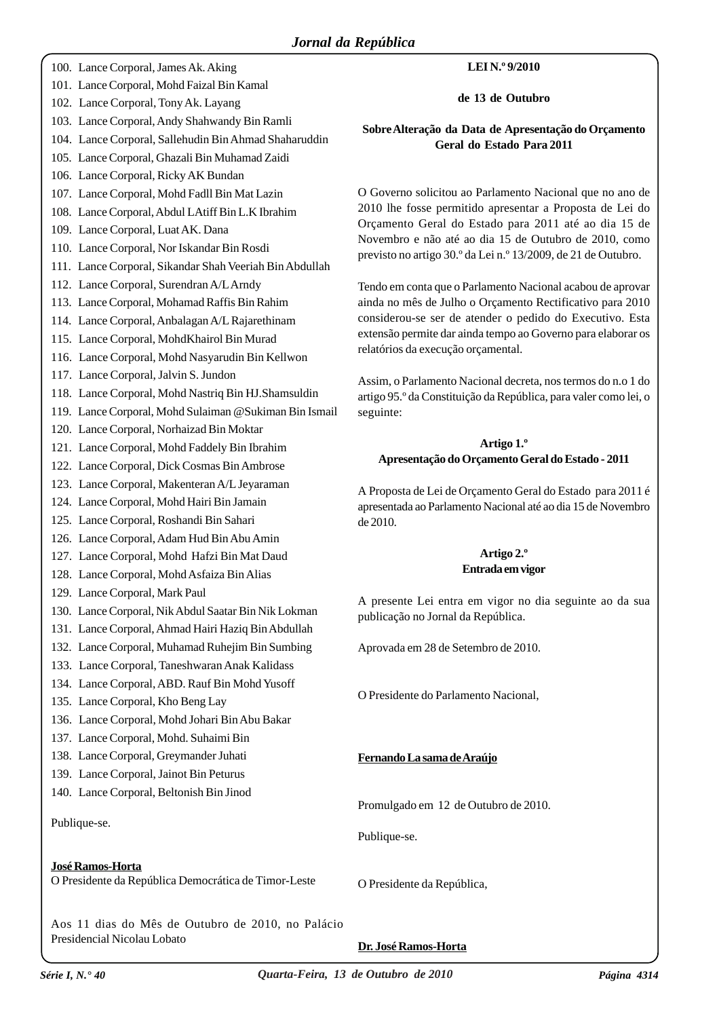|  | 100. Lance Corporal, James Ak. Aking                    | LEI N.º 9/2010                                                                                                         |
|--|---------------------------------------------------------|------------------------------------------------------------------------------------------------------------------------|
|  | 101. Lance Corporal, Mohd Faizal Bin Kamal              |                                                                                                                        |
|  | 102. Lance Corporal, Tony Ak. Layang                    | de 13 de Outubro                                                                                                       |
|  | 103. Lance Corporal, Andy Shahwandy Bin Ramli           | Sobre Alteração da Data de Apresentação do Orçamento                                                                   |
|  | 104. Lance Corporal, Sallehudin Bin Ahmad Shaharuddin   | Geral do Estado Para 2011                                                                                              |
|  | 105. Lance Corporal, Ghazali Bin Muhamad Zaidi          |                                                                                                                        |
|  | 106. Lance Corporal, Ricky AK Bundan                    |                                                                                                                        |
|  | 107. Lance Corporal, Mohd Fadll Bin Mat Lazin           | O Governo solicitou ao Parlamento Nacional que no ano de                                                               |
|  | 108. Lance Corporal, Abdul LAtiff Bin L.K Ibrahim       | 2010 lhe fosse permitido apresentar a Proposta de Lei do                                                               |
|  | 109. Lance Corporal, Luat AK. Dana                      | Orçamento Geral do Estado para 2011 até ao dia 15 de                                                                   |
|  | 110. Lance Corporal, Nor Iskandar Bin Rosdi             | Novembro e não até ao dia 15 de Outubro de 2010, como<br>previsto no artigo 30.º da Lei n.º 13/2009, de 21 de Outubro. |
|  | 111. Lance Corporal, Sikandar Shah Veeriah Bin Abdullah |                                                                                                                        |
|  | 112. Lance Corporal, Surendran A/L Arndy                | Tendo em conta que o Parlamento Nacional acabou de aprovar                                                             |
|  | 113. Lance Corporal, Mohamad Raffis Bin Rahim           | ainda no mês de Julho o Orçamento Rectificativo para 2010                                                              |
|  | 114. Lance Corporal, Anbalagan A/L Rajarethinam         | considerou-se ser de atender o pedido do Executivo. Esta                                                               |
|  | 115. Lance Corporal, MohdKhairol Bin Murad              | extensão permite dar ainda tempo ao Governo para elaborar os                                                           |
|  | 116. Lance Corporal, Mohd Nasyarudin Bin Kellwon        | relatórios da execução orçamental.                                                                                     |
|  | 117. Lance Corporal, Jalvin S. Jundon                   | Assim, o Parlamento Nacional decreta, nos termos do n.o 1 do                                                           |
|  | 118. Lance Corporal, Mohd Nastriq Bin HJ. Shamsuldin    | artigo 95.º da Constituição da República, para valer como lei, o                                                       |
|  | 119. Lance Corporal, Mohd Sulaiman @ Sukiman Bin Ismail | seguinte:                                                                                                              |
|  | 120. Lance Corporal, Norhaizad Bin Moktar               |                                                                                                                        |
|  | 121. Lance Corporal, Mohd Faddely Bin Ibrahim           | Artigo 1.º                                                                                                             |
|  | 122. Lance Corporal, Dick Cosmas Bin Ambrose            | Apresentação do Orçamento Geral do Estado - 2011                                                                       |
|  | 123. Lance Corporal, Makenteran A/L Jeyaraman           | A Proposta de Lei de Orçamento Geral do Estado para 2011 é                                                             |
|  | 124. Lance Corporal, Mohd Hairi Bin Jamain              | apresentada ao Parlamento Nacional até ao dia 15 de Novembro                                                           |
|  | 125. Lance Corporal, Roshandi Bin Sahari                | de 2010.                                                                                                               |
|  | 126. Lance Corporal, Adam Hud Bin Abu Amin              |                                                                                                                        |
|  | 127. Lance Corporal, Mohd Hafzi Bin Mat Daud            | Artigo 2.º                                                                                                             |
|  | 128. Lance Corporal, Mohd Asfaiza Bin Alias             | Entrada em vigor                                                                                                       |
|  | 129. Lance Corporal, Mark Paul                          | A presente Lei entra em vigor no dia seguinte ao da sua                                                                |
|  | 130. Lance Corporal, Nik Abdul Saatar Bin Nik Lokman    | publicação no Jornal da República.                                                                                     |
|  | 131. Lance Corporal, Ahmad Hairi Haziq Bin Abdullah     |                                                                                                                        |
|  | 132. Lance Corporal, Muhamad Ruhejim Bin Sumbing        | Aprovada em 28 de Setembro de 2010.                                                                                    |
|  | 133. Lance Corporal, Taneshwaran Anak Kalidass          |                                                                                                                        |
|  | 134. Lance Corporal, ABD. Rauf Bin Mohd Yusoff          |                                                                                                                        |
|  | 135. Lance Corporal, Kho Beng Lay                       | O Presidente do Parlamento Nacional,                                                                                   |
|  | 136. Lance Corporal, Mohd Johari Bin Abu Bakar          |                                                                                                                        |
|  | 137. Lance Corporal, Mohd. Suhaimi Bin                  |                                                                                                                        |
|  | 138. Lance Corporal, Greymander Juhati                  | Fernando La sama de Araújo                                                                                             |
|  | 139. Lance Corporal, Jainot Bin Peturus                 |                                                                                                                        |
|  | 140. Lance Corporal, Beltonish Bin Jinod                |                                                                                                                        |
|  |                                                         | Promulgado em 12 de Outubro de 2010.                                                                                   |
|  | Publique-se.                                            | Publique-se.                                                                                                           |
|  |                                                         |                                                                                                                        |
|  | José Ramos-Horta                                        |                                                                                                                        |
|  | O Presidente da República Democrática de Timor-Leste    | O Presidente da República,                                                                                             |
|  |                                                         |                                                                                                                        |

Aos 11 dias do Mês de Outubro de 2010, no Palácio Presidencial Nicolau Lobato

**Dr. José Ramos-Horta**